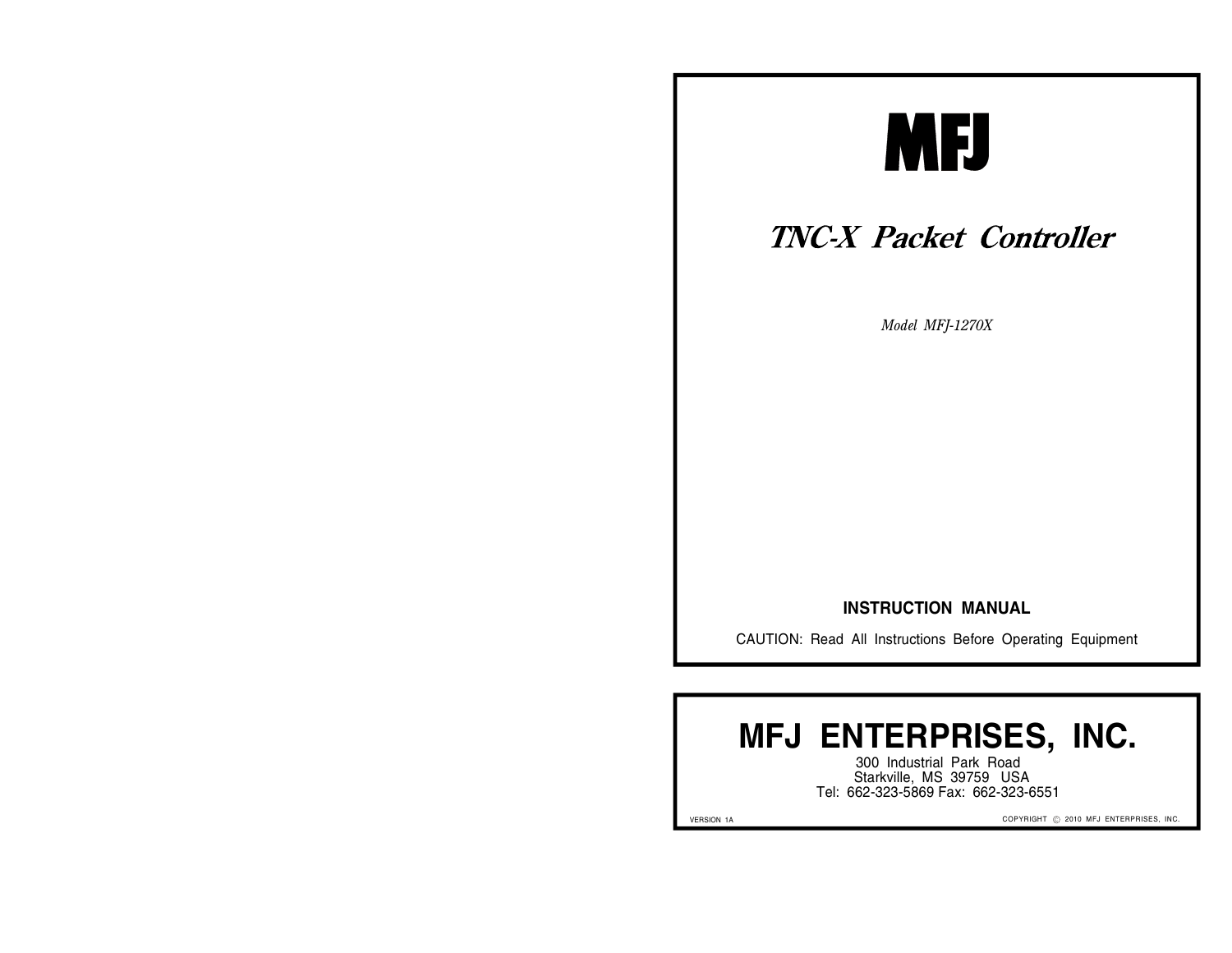

## **TNC-X Packet Controller**

*Model MFJ-1270X*

#### **INSTRUCTION MANUAL**

CAUTION: Read All Instructions Before Operating Equipment

# **MFJ ENTERPRISES, INC.**

300 Industrial Park Road Starkville, MS 39759 USA Tel: 662-323-5869 Fax: 662-323-6551

VERSION 1A

COPYRIGHT © 2010 MFJ ENTERPRISES, INC.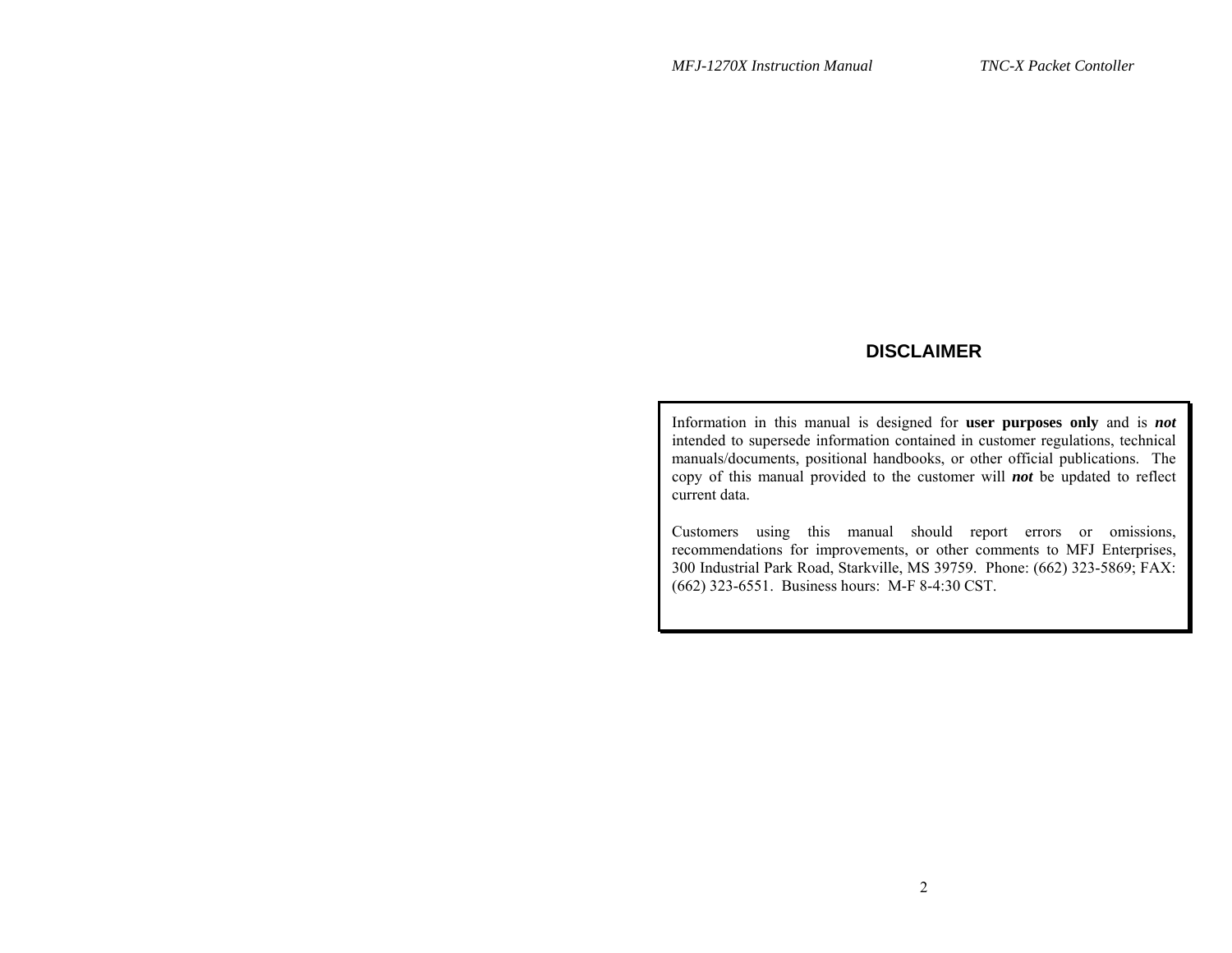## **DISCLAIMER**

Information in this manual is designed for **user purposes only** and is *not* intended to supersede information contained in customer regulations, technical manuals/documents, positional handbooks, or other official publications. The copy of this manual provided to the customer will *not* be updated to reflect current data.

Customers using this manual should report errors or omissions, recommendations for improvements, or other comments to MFJ Enterprises, 300 Industrial Park Road, Starkville, MS 39759. Phone: (662) 323-5869; FAX: (662) 323-6551. Business hours: M-F 8-4:30 CST.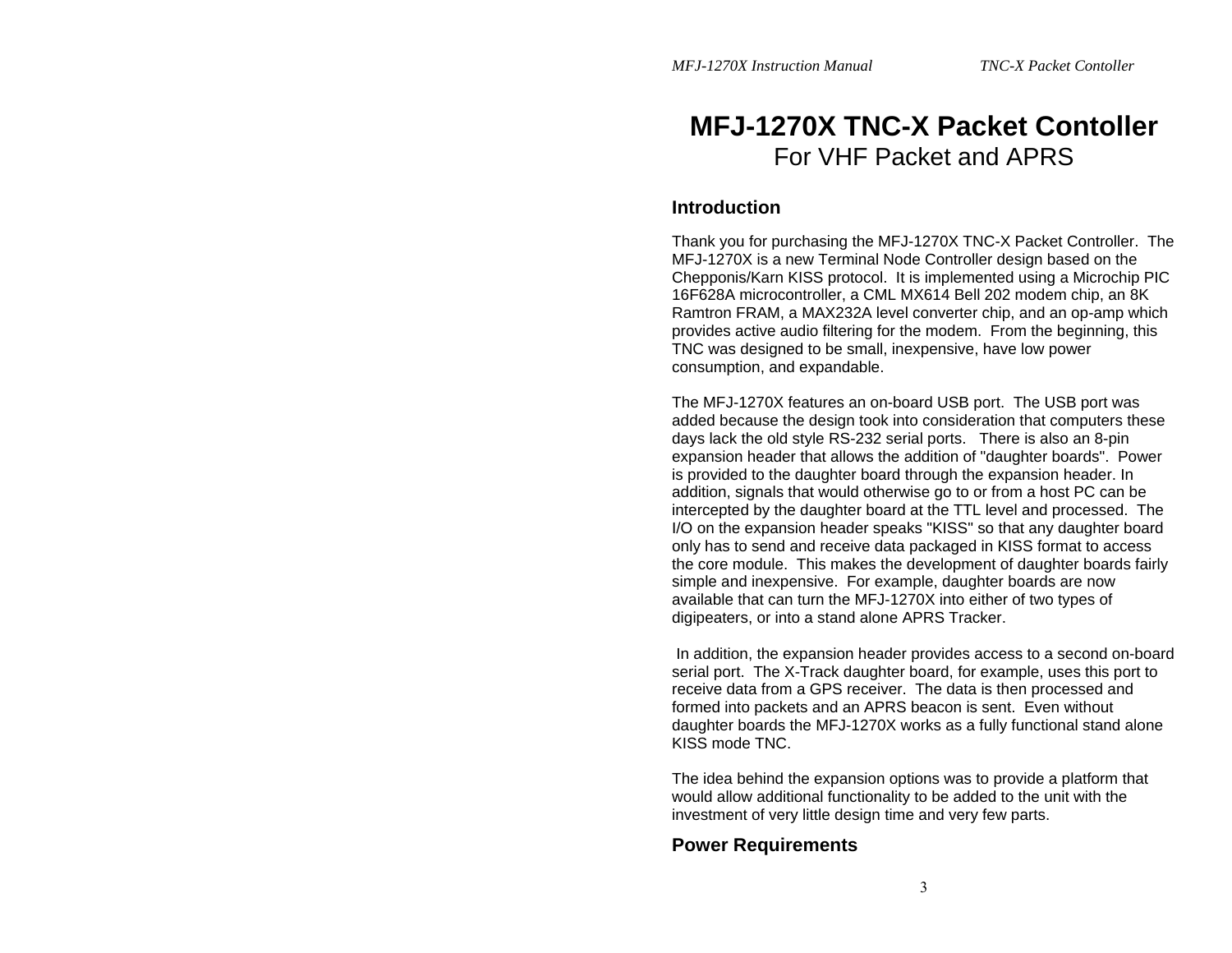## **MFJ-1270X TNC-X Packet Contoller**  For VHF Packet and APRS

### **Introduction**

Thank you for purchasing the MFJ-1270X TNC-X Packet Controller. The MFJ-1270X is a new Terminal Node Controller design based on the Chepponis/Karn KISS protocol. It is implemented using a Microchip PIC 16F628A microcontroller, a CML MX614 Bell 202 modem chip, an 8K Ramtron FRAM, a MAX232A level converter chip, and an op-amp which provides active audio filtering for the modem. From the beginning, this TNC was designed to be small, inexpensive, have low power consumption, and expandable.

The MFJ-1270X features an on-board USB port. The USB port was added because the design took into consideration that computers these days lack the old style RS-232 serial ports. There is also an 8-pin expansion header that allows the addition of "daughter boards". Power is provided to the daughter board through the expansion header. In addition, signals that would otherwise go to or from a host PC can be intercepted by the daughter board at the TTL level and processed. The I/O on the expansion header speaks "KISS" so that any daughter board only has to send and receive data packaged in KISS format to access the core module. This makes the development of daughter boards fairly simple and inexpensive. For example, daughter boards are now available that can turn the MFJ-1270X into either of two types of digipeaters, or into a stand alone APRS Tracker.

 In addition, the expansion header provides access to a second on-board serial port. The X-Track daughter board, for example, uses this port to receive data from a GPS receiver. The data is then processed and formed into packets and an APRS beacon is sent. Even without daughter boards the MFJ-1270X works as a fully functional stand alone KISS mode TNC.

The idea behind the expansion options was to provide a platform that would allow additional functionality to be added to the unit with the investment of very little design time and very few parts.

## **Power Requirements**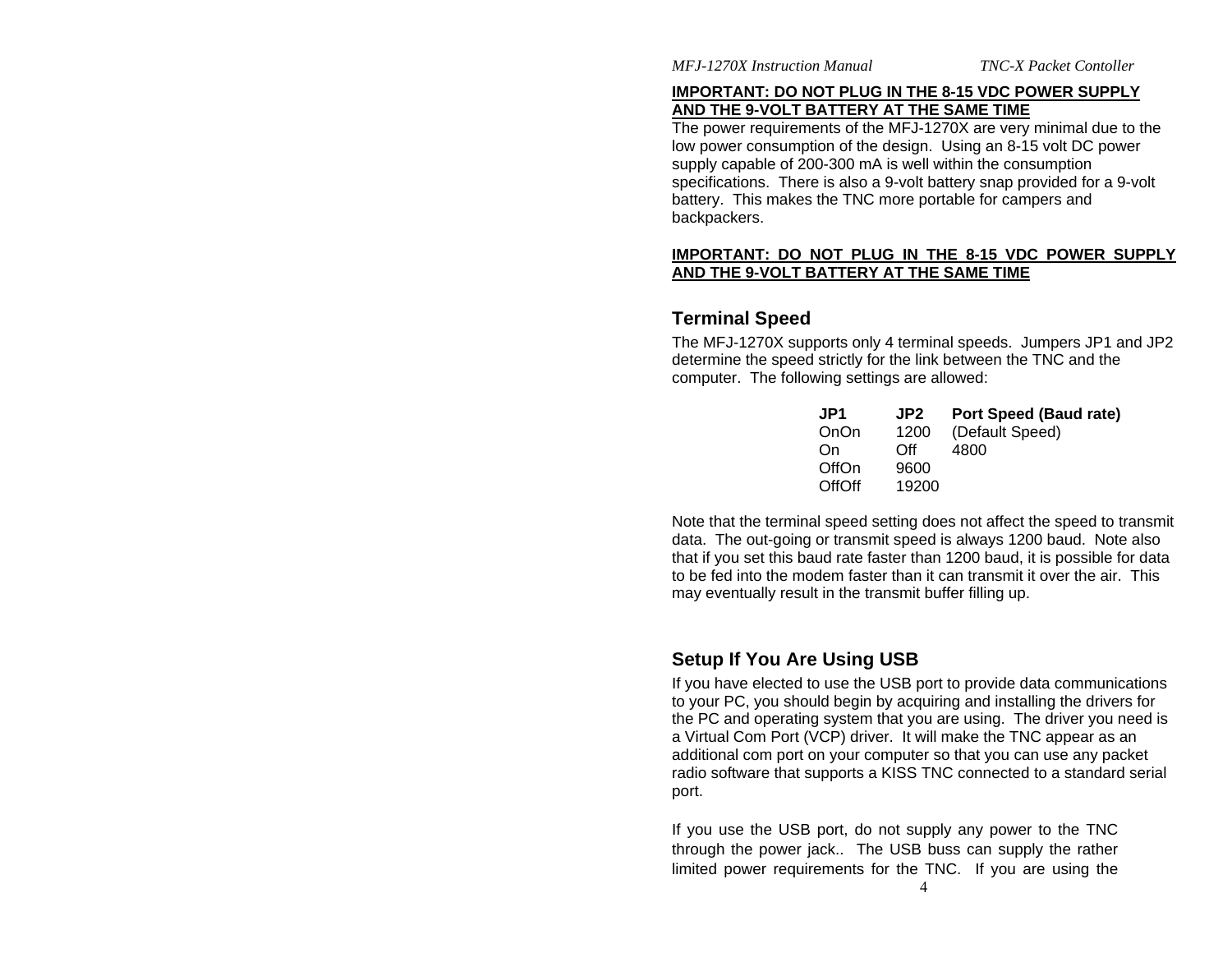#### **IMPORTANT: DO NOT PLUG IN THE 8-15 VDC POWER SUPPLY AND THE 9-VOLT BATTERY AT THE SAME TIME**

The power requirements of the MFJ-1270X are very minimal due to the low power consumption of the design. Using an 8-15 volt DC power supply capable of 200-300 mA is well within the consumption specifications. There is also a 9-volt battery snap provided for a 9-volt battery. This makes the TNC more portable for campers and backpackers.

#### **IMPORTANT: DO NOT PLUG IN THE 8-15 VDC POWER SUPPLY AND THE 9-VOLT BATTERY AT THE SAME TIME**

## **Terminal Speed**

The MFJ-1270X supports only 4 terminal speeds. Jumpers JP1 and JP2 determine the speed strictly for the link between the TNC and the computer. The following settings are allowed:

| JP1           | JP2   | <b>Port Speed (Baud rate)</b> |
|---------------|-------|-------------------------------|
| OnOn          | 1200  | (Default Speed)               |
| On            | ∩ff   | 4800                          |
| OffOn         | 9600  |                               |
| <b>OffOff</b> | 19200 |                               |

Note that the terminal speed setting does not affect the speed to transmit data. The out-going or transmit speed is always 1200 baud. Note also that if you set this baud rate faster than 1200 baud, it is possible for data to be fed into the modem faster than it can transmit it over the air. This may eventually result in the transmit buffer filling up.

## **Setup If You Are Using USB**

If you have elected to use the USB port to provide data communications to your PC, you should begin by acquiring and installing the drivers for the PC and operating system that you are using. The driver you need is a Virtual Com Port (VCP) driver. It will make the TNC appear as an additional com port on your computer so that you can use any packet radio software that supports a KISS TNC connected to a standard serial port.

If you use the USB port, do not supply any power to the TNC through the power jack.. The USB buss can supply the rather limited power requirements for the TNC. If you are using the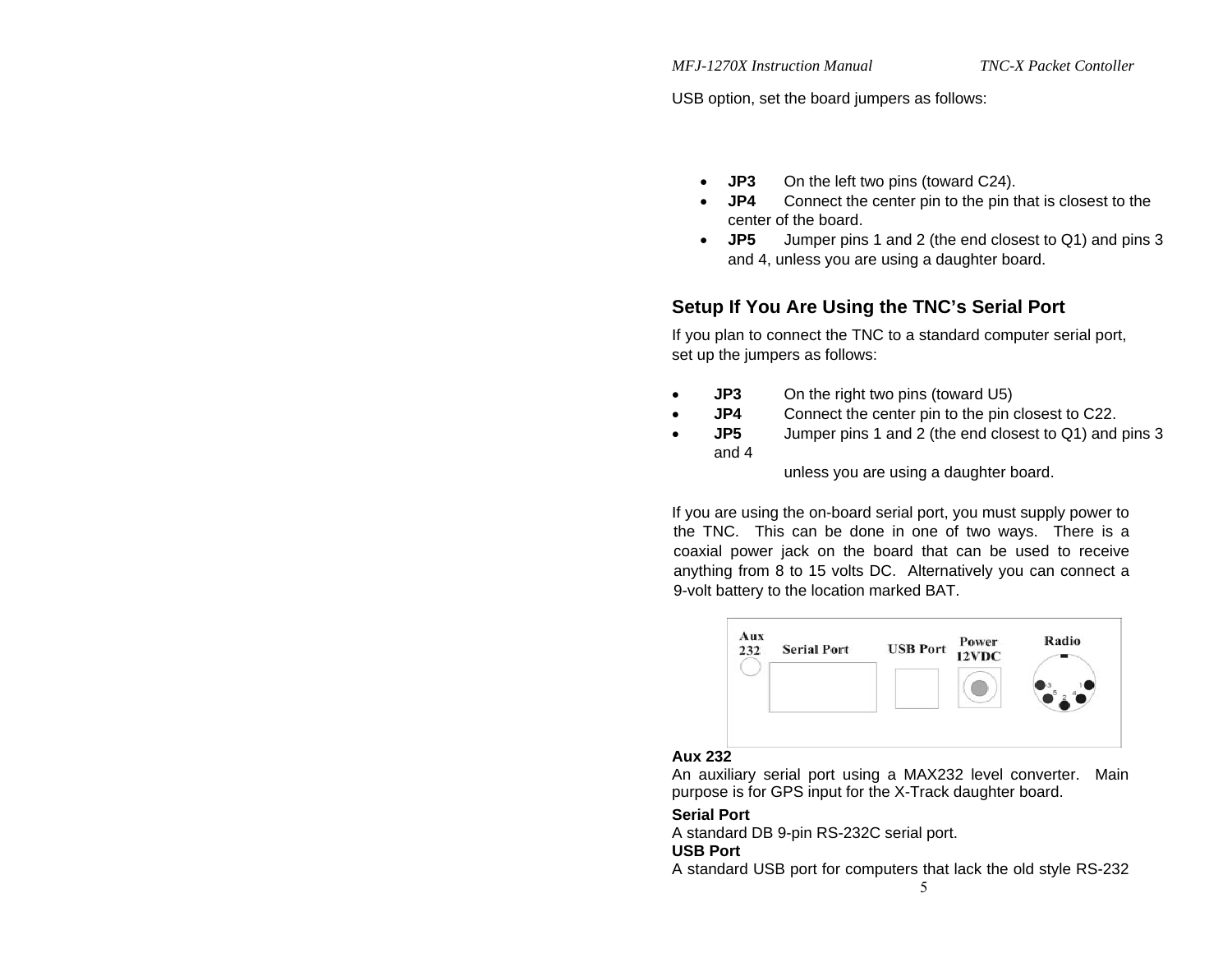USB option, set the board jumpers as follows:

- **JP3** On the left two pins (toward C24).
- **JP4** Connect the center pin to the pin that is closest to the center of the board.
- **JP5** Jumper pins 1 and 2 (the end closest to Q1) and pins 3 and 4, unless you are using a daughter board.

## **Setup If You Are Using the TNC's Serial Port**

If you plan to connect the TNC to a standard computer serial port, set up the jumpers as follows:

- **JP3** On the right two pins (toward U5)
- **JP4** Connect the center pin to the pin closest to C22.
- **JP5** Jumper pins 1 and 2 (the end closest to Q1) and pins 3 and 4

unless you are using a daughter board.

If you are using the on-board serial port, you must supply power to the TNC. This can be done in one of two ways. There is a coaxial power jack on the board that can be used to receive anything from 8 to 15 volts DC. Alternatively you can connect a 9-volt battery to the location marked BAT.



## **Aux 232**

An auxiliary serial port using a MAX232 level converter. Main purpose is for GPS input for the X-Track daughter board.

## **Serial Port**

A standard DB 9-pin RS-232C serial port.

## **USB Port**

A standard USB port for computers that lack the old style RS-232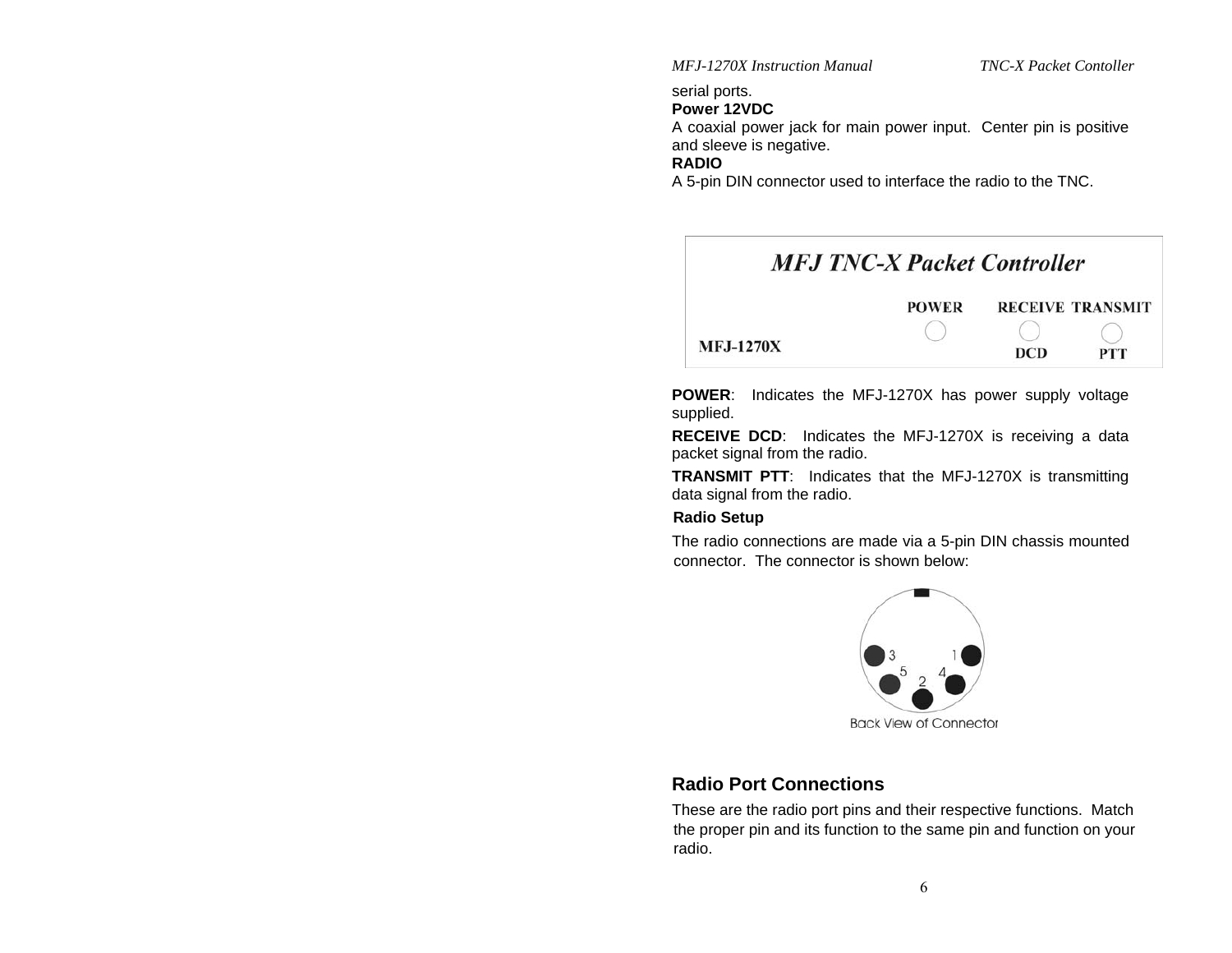serial ports.

#### **Power 12VDC**

A coaxial power jack for main power input. Center pin is positive and sleeve is negative.

#### **RADIO**

A 5-pin DIN connector used to interface the radio to the TNC.



**POWER**: Indicates the MFJ-1270X has power supply voltage supplied.

**RECEIVE DCD**: Indicates the MFJ-1270X is receiving a data packet signal from the radio.

**TRANSMIT PTT**: Indicates that the MFJ-1270X is transmitting data signal from the radio.

#### **Radio Setup**

The radio connections are made via a 5-pin DIN chassis mounted connector. The connector is shown below:



**Back View of Connector** 

## **Radio Port Connections**

These are the radio port pins and their respective functions. Match the proper pin and its function to the same pin and function on your radio.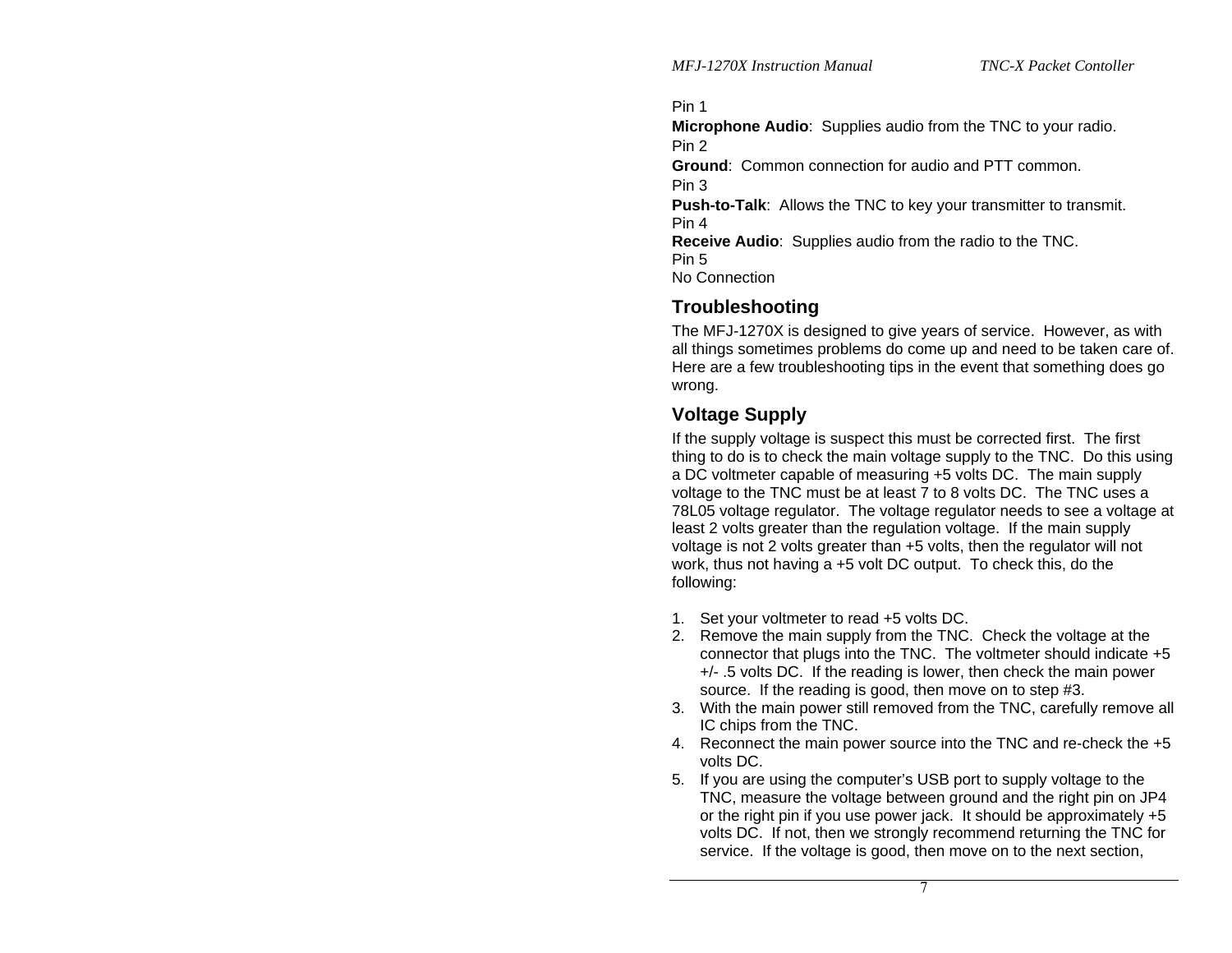Pin 1

**Microphone Audio**: Supplies audio from the TNC to your radio. Pin 2

**Ground**: Common connection for audio and PTT common.

Pin 3

**Push-to-Talk:** Allows the TNC to key your transmitter to transmit. Pin 4

**Receive Audio**: Supplies audio from the radio to the TNC. Pin 5 No Connection

## **Troubleshooting**

The MFJ-1270X is designed to give years of service. However, as with all things sometimes problems do come up and need to be taken care of. Here are a few troubleshooting tips in the event that something does go wrong.

## **Voltage Supply**

If the supply voltage is suspect this must be corrected first. The first thing to do is to check the main voltage supply to the TNC. Do this using a DC voltmeter capable of measuring +5 volts DC. The main supply voltage to the TNC must be at least 7 to 8 volts DC. The TNC uses a 78L05 voltage regulator. The voltage regulator needs to see a voltage at least 2 volts greater than the regulation voltage. If the main supply voltage is not 2 volts greater than +5 volts, then the regulator will not work, thus not having a +5 volt DC output. To check this, do the following:

- 1. Set your voltmeter to read +5 volts DC.
- 2. Remove the main supply from the TNC. Check the voltage at the connector that plugs into the TNC. The voltmeter should indicate +5 +/- .5 volts DC. If the reading is lower, then check the main power source. If the reading is good, then move on to step #3.
- 3. With the main power still removed from the TNC, carefully remove all IC chips from the TNC.
- 4. Reconnect the main power source into the TNC and re-check the +5 volts DC.
- 5. If you are using the computer's USB port to supply voltage to the TNC, measure the voltage between ground and the right pin on JP4 or the right pin if you use power jack. It should be approximately +5 volts DC. If not, then we strongly recommend returning the TNC for service. If the voltage is good, then move on to the next section,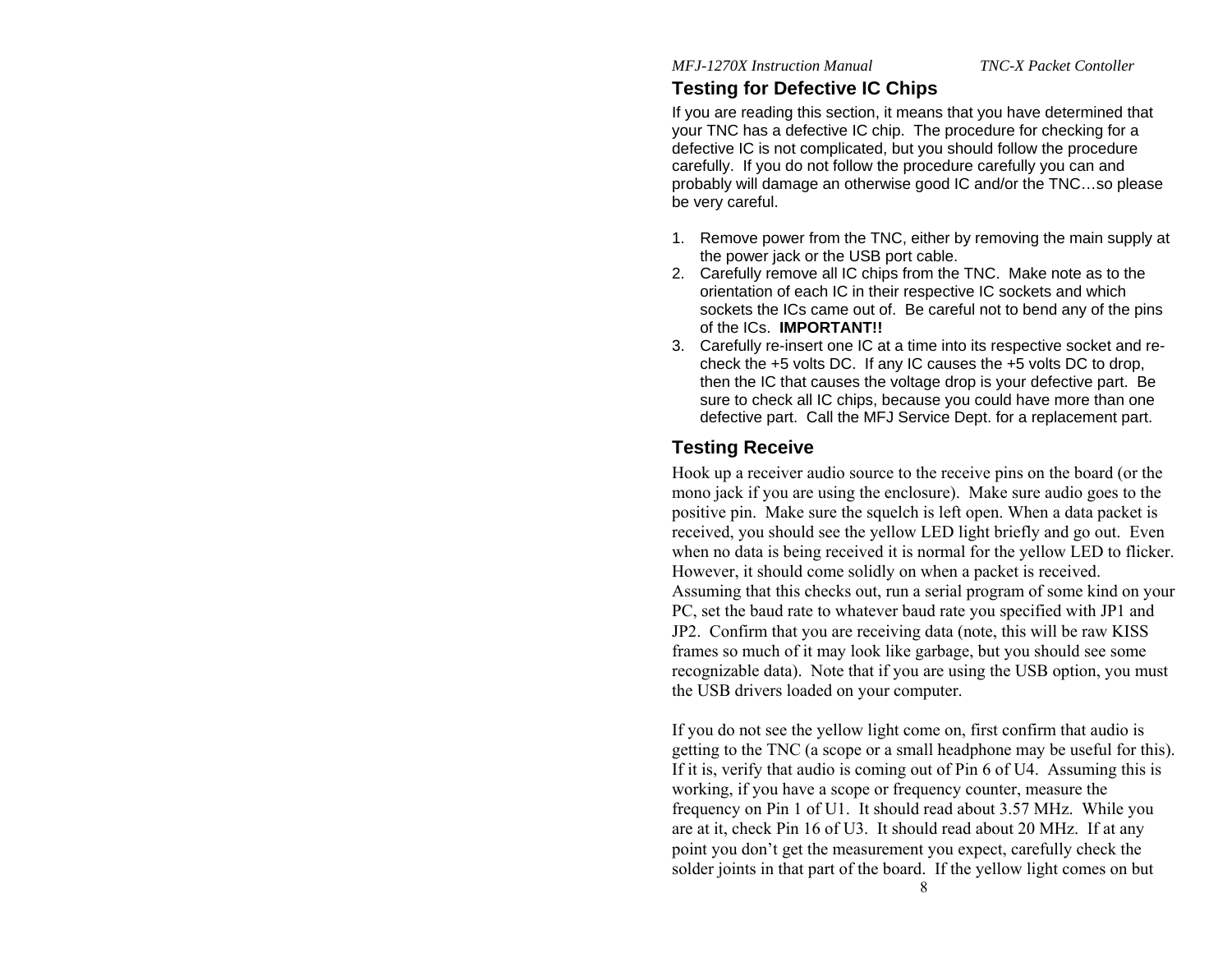## **Testing for Defective IC Chips**

If you are reading this section, it means that you have determined that your TNC has a defective IC chip. The procedure for checking for a defective IC is not complicated, but you should follow the procedure carefully. If you do not follow the procedure carefully you can and probably will damage an otherwise good IC and/or the TNC…so please be very careful.

- 1. Remove power from the TNC, either by removing the main supply at the power jack or the USB port cable.
- 2. Carefully remove all IC chips from the TNC. Make note as to the orientation of each IC in their respective IC sockets and which sockets the ICs came out of. Be careful not to bend any of the pins of the ICs. **IMPORTANT!!**
- 3. Carefully re-insert one IC at a time into its respective socket and recheck the +5 volts DC. If any IC causes the +5 volts DC to drop, then the IC that causes the voltage drop is your defective part. Be sure to check all IC chips, because you could have more than one defective part. Call the MFJ Service Dept. for a replacement part.

## **Testing Receive**

Hook up a receiver audio source to the receive pins on the board (or the mono jack if you are using the enclosure). Make sure audio goes to the positive pin. Make sure the squelch is left open. When a data packet is received, you should see the yellow LED light briefly and go out. Even when no data is being received it is normal for the yellow LED to flicker. However, it should come solidly on when a packet is received. Assuming that this checks out, run a serial program of some kind on your PC, set the baud rate to whatever baud rate you specified with JP1 and JP2. Confirm that you are receiving data (note, this will be raw KISS frames so much of it may look like garbage, but you should see some recognizable data). Note that if you are using the USB option, you must the USB drivers loaded on your computer.

If you do not see the yellow light come on, first confirm that audio is getting to the TNC (a scope or a small headphone may be useful for this). If it is, verify that audio is coming out of Pin 6 of U4. Assuming this is working, if you have a scope or frequency counter, measure the frequency on Pin 1 of U1. It should read about 3.57 MHz. While you are at it, check Pin 16 of U3. It should read about 20 MHz. If at any point you don't get the measurement you expect, carefully check the solder joints in that part of the board. If the yellow light comes on but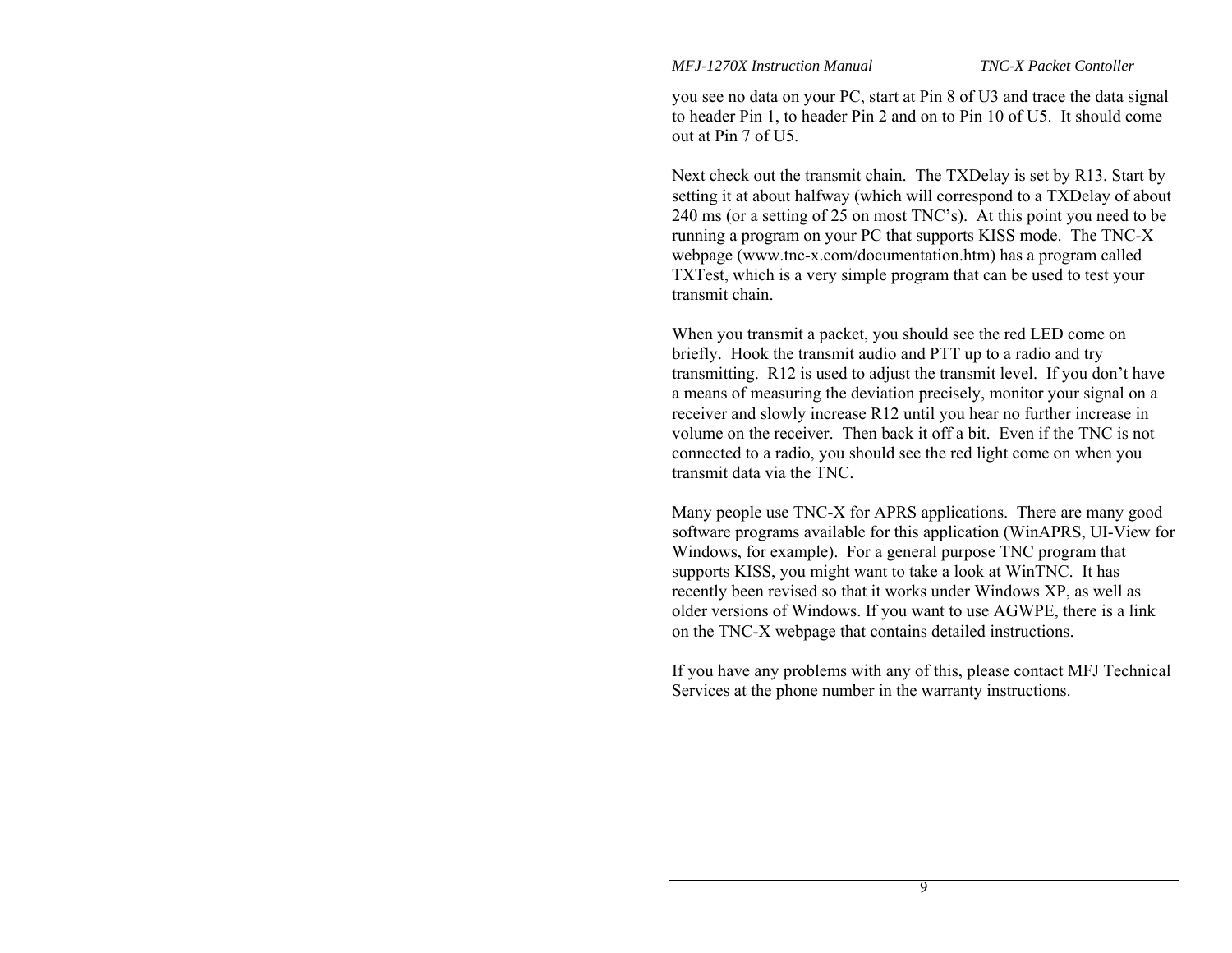you see no data on your PC, start at Pin 8 of U3 and trace the data signal to header Pin 1, to header Pin 2 and on to Pin 10 of U5. It should come out at Pin 7 of U5.

Next check out the transmit chain. The TXDelay is set by R13. Start by setting it at about halfway (which will correspond to a TXDelay of about 240 ms (or a setting of 25 on most TNC's). At this point you need to be running a program on your PC that supports KISS mode. The TNC-X webpage (www.tnc-x.com/documentation.htm) has a program called TXTest, which is a very simple program that can be used to test your transmit chain.

When you transmit a packet, you should see the red LED come on briefly. Hook the transmit audio and PTT up to a radio and try transmitting. R12 is used to adjust the transmit level. If you don't have a means of measuring the deviation precisely, monitor your signal on a receiver and slowly increase R12 until you hear no further increase in volume on the receiver. Then back it off a bit. Even if the TNC is not connected to a radio, you should see the red light come on when you transmit data via the TNC.

Many people use TNC-X for APRS applications. There are many good software programs available for this application (WinAPRS, UI-View for Windows, for example). For a general purpose TNC program that supports KISS, you might want to take a look at WinTNC. It has recently been revised so that it works under Windows XP, as well as older versions of Windows. If you want to use AGWPE, there is a link on the TNC-X webpage that contains detailed instructions.

If you have any problems with any of this, please contact MFJ Technical Services at the phone number in the warranty instructions.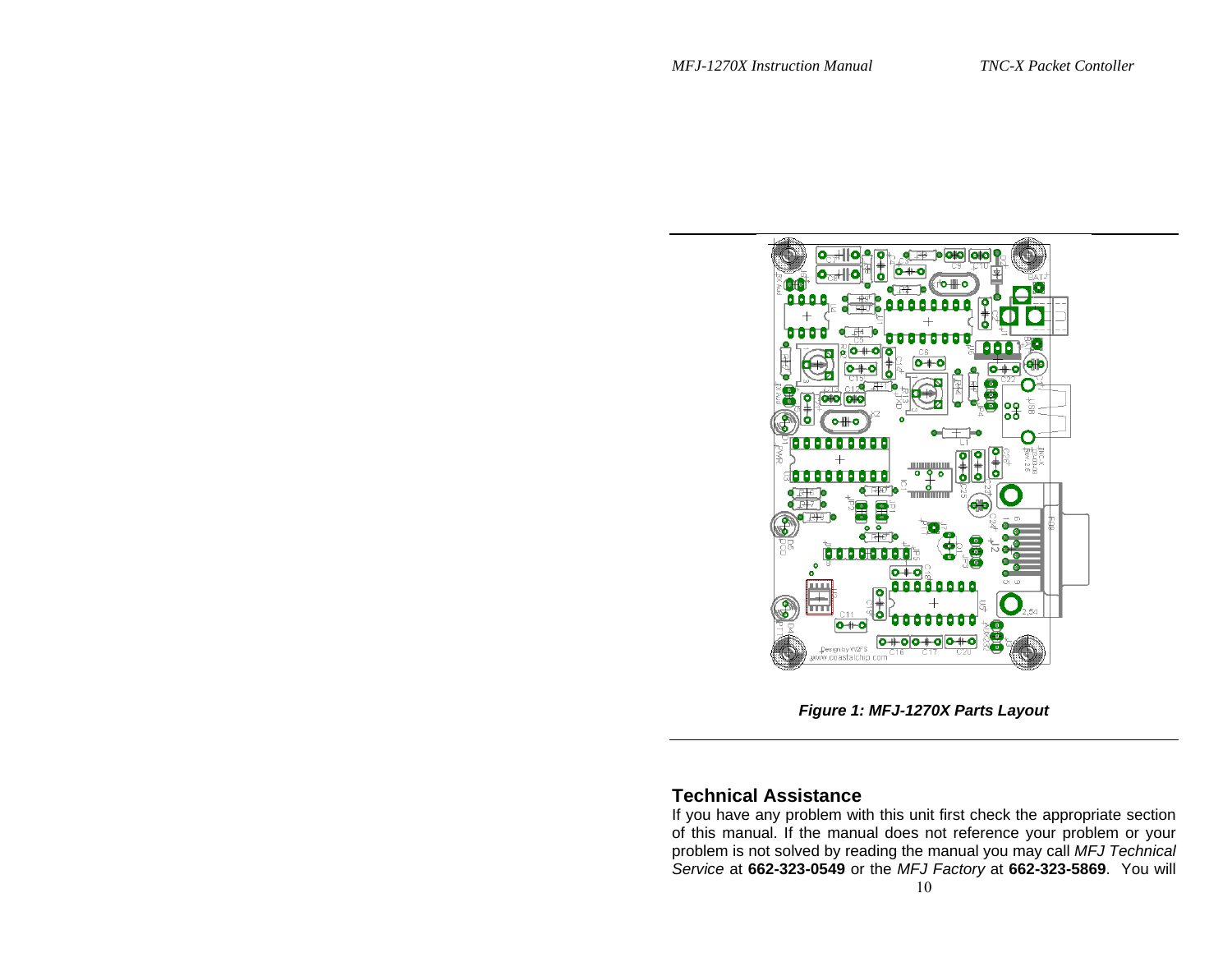

*Figure 1: MFJ-1270X Parts Layout* 

## **Technical Assistance**

If you have any problem with this unit first check the appropriate section of this manual. If the manual does not reference your problem or your problem is not solved by reading the manual you may call *MFJ Technical Service* at **662-323-0549** or the *MFJ Factory* at **662-323-5869**. You will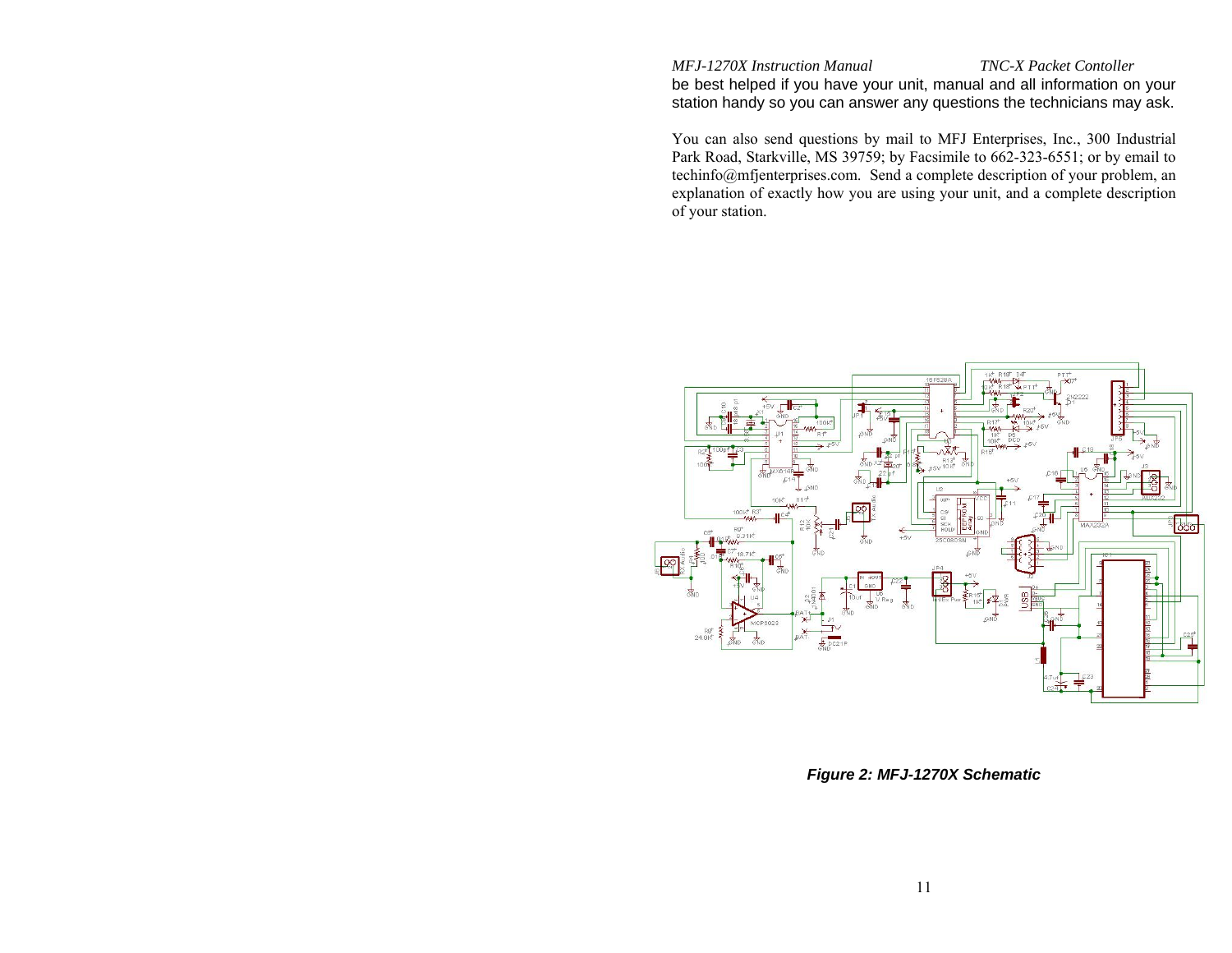be best helped if you have your unit, manual and all information on your station handy so you can answer any questions the technicians may ask.

You can also send questions by mail to MFJ Enterprises, Inc., 300 Industrial Park Road, Starkville, MS 39759; by Facsimile to 662-323-6551; or by email to techinfo@mfjenterprises.com. Send a complete description of your problem, an explanation of exactly how you are using your unit, and a complete description of your station.



*Figure 2: MFJ-1270X Schematic*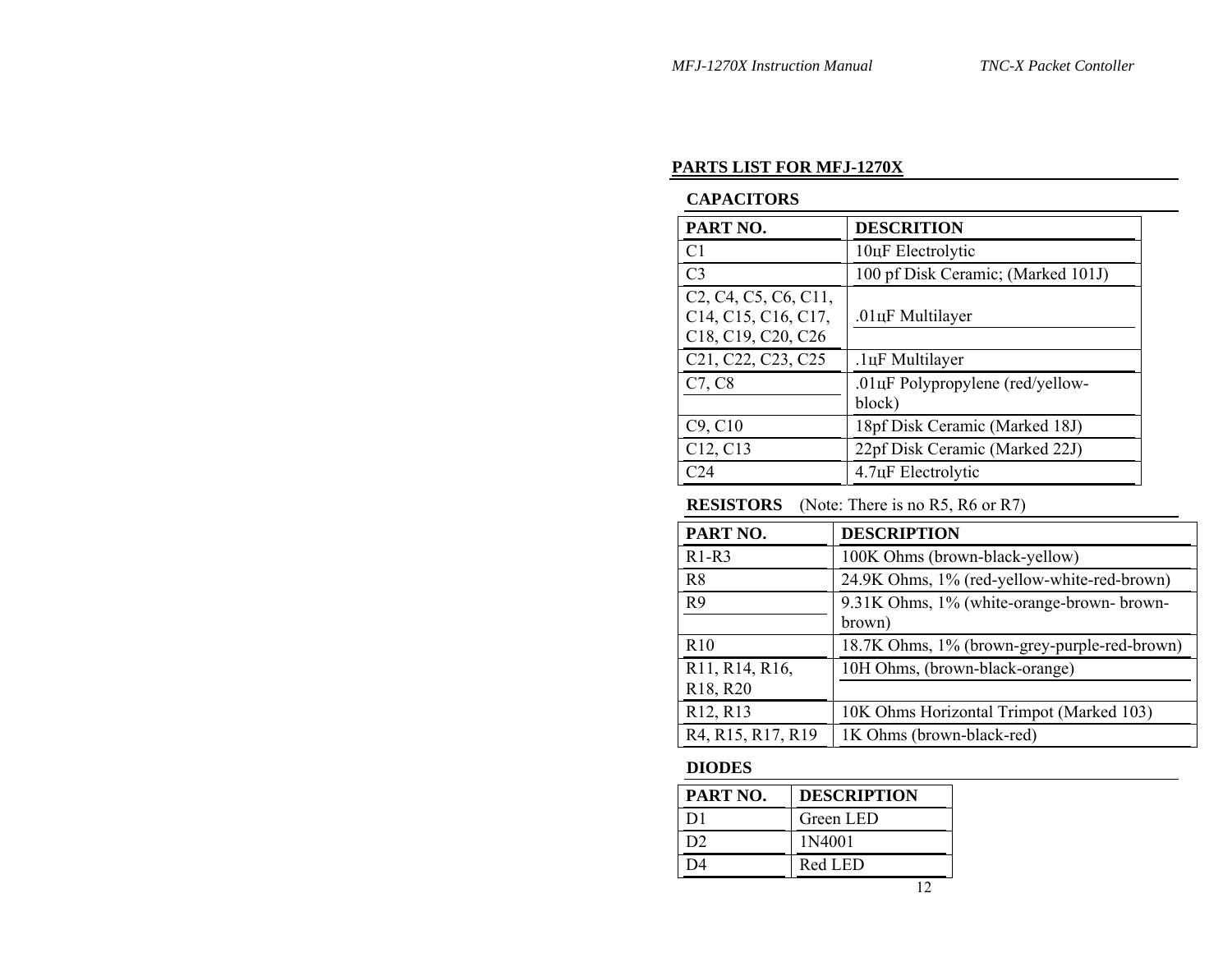#### **PARTS LIST FOR MFJ-1270X**

#### **CAPACITORS**

| PART NO.                                                                                                                                                                               | <b>DESCRITION</b>                          |
|----------------------------------------------------------------------------------------------------------------------------------------------------------------------------------------|--------------------------------------------|
| C <sub>1</sub>                                                                                                                                                                         | 10цF Electrolytic                          |
| C <sub>3</sub>                                                                                                                                                                         | 100 pf Disk Ceramic; (Marked 101J)         |
| C <sub>2</sub> , C <sub>4</sub> , C <sub>5</sub> , C <sub>6</sub> , C <sub>11</sub> ,<br>C <sub>14</sub> , C <sub>15</sub> , C <sub>16</sub> , C <sub>17</sub> ,<br>C18, C19, C20, C26 | .01 <sub>I</sub> F Multilayer              |
| C <sub>21</sub> , C <sub>22</sub> , C <sub>23</sub> , C <sub>25</sub>                                                                                                                  | .1цF Multilayer                            |
| C7, C8                                                                                                                                                                                 | .01цF Polypropylene (red/yellow-<br>block) |
| C9, C10                                                                                                                                                                                | 18pf Disk Ceramic (Marked 18J)             |
| C12, C13                                                                                                                                                                               | 22pf Disk Ceramic (Marked 22J)             |
| $\bigcirc$ 24                                                                                                                                                                          | 4.7 <sub>HF</sub> Electrolytic             |

**RESISTORS** (Note: There is no R5, R6 or R7)

| PART NO.                                            | <b>DESCRIPTION</b>                                  |
|-----------------------------------------------------|-----------------------------------------------------|
| $R1-R3$                                             | 100K Ohms (brown-black-yellow)                      |
| R8                                                  | 24.9K Ohms, 1% (red-yellow-white-red-brown)         |
| R9                                                  | 9.31K Ohms, 1% (white-orange-brown-brown-<br>brown) |
| R <sub>10</sub>                                     | 18.7K Ohms, 1% (brown-grey-purple-red-brown)        |
| R11, R14, R16,<br>R <sub>18</sub> , R <sub>20</sub> | 10H Ohms, (brown-black-orange)                      |
| R <sub>12</sub> , R <sub>13</sub>                   | 10K Ohms Horizontal Trimpot (Marked 103)            |
| R4, R15, R17, R19                                   | 1K Ohms (brown-black-red)                           |

#### **DIODES**

| PART NO.       | <b>DESCRIPTION</b> |
|----------------|--------------------|
| D <sub>1</sub> | Green LED          |
| D2.            | 1N4001             |
|                | Red LED            |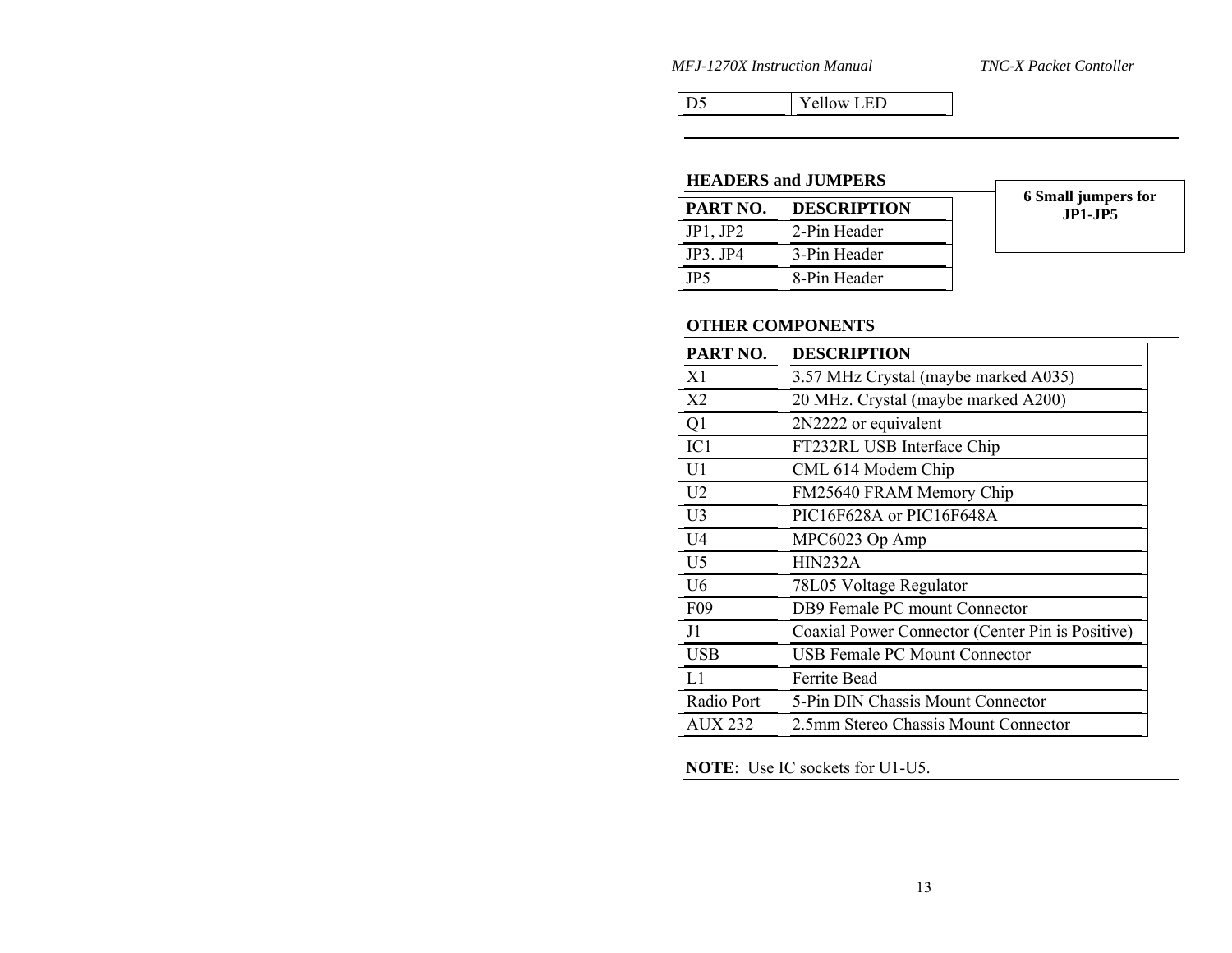*MFJ-1270X Instruction Manual* 

TNC-X Packet Contoller

D5 Yellow LED

#### **HEADERS and JUMPERS**

| PART NO.    | <b>DESCRIPTION</b> |
|-------------|--------------------|
| JP1, JP2    | 2-Pin Header       |
| $IP3$ $IP4$ | 3-Pin Header       |
| IP5         | 8-Pin Header       |

**6 Small jumpers for JP1-JP5** 

#### **OTHER COMPONENTS**

| PART NO.        | <b>DESCRIPTION</b>                               |
|-----------------|--------------------------------------------------|
| X1              | 3.57 MHz Crystal (maybe marked A035)             |
| X <sub>2</sub>  | 20 MHz. Crystal (maybe marked A200)              |
| Q <sub>1</sub>  | 2N2222 or equivalent                             |
| IC1             | FT232RL USB Interface Chip                       |
| U <sub>1</sub>  | CML 614 Modem Chip                               |
| U <sub>2</sub>  | FM25640 FRAM Memory Chip                         |
| U <sub>3</sub>  | PIC16F628A or PIC16F648A                         |
| U <sub>4</sub>  | MPC6023 Op Amp                                   |
| U <sub>5</sub>  | HIN232A                                          |
| U6              | 78L05 Voltage Regulator                          |
| F <sub>09</sub> | DB9 Female PC mount Connector                    |
| J1              | Coaxial Power Connector (Center Pin is Positive) |
| <b>USB</b>      | USB Female PC Mount Connector                    |
| L1              | Ferrite Bead                                     |
| Radio Port      | 5-Pin DIN Chassis Mount Connector                |
| AUX 232         | 2.5mm Stereo Chassis Mount Connector             |

**NOTE**: Use IC sockets for U1-U5.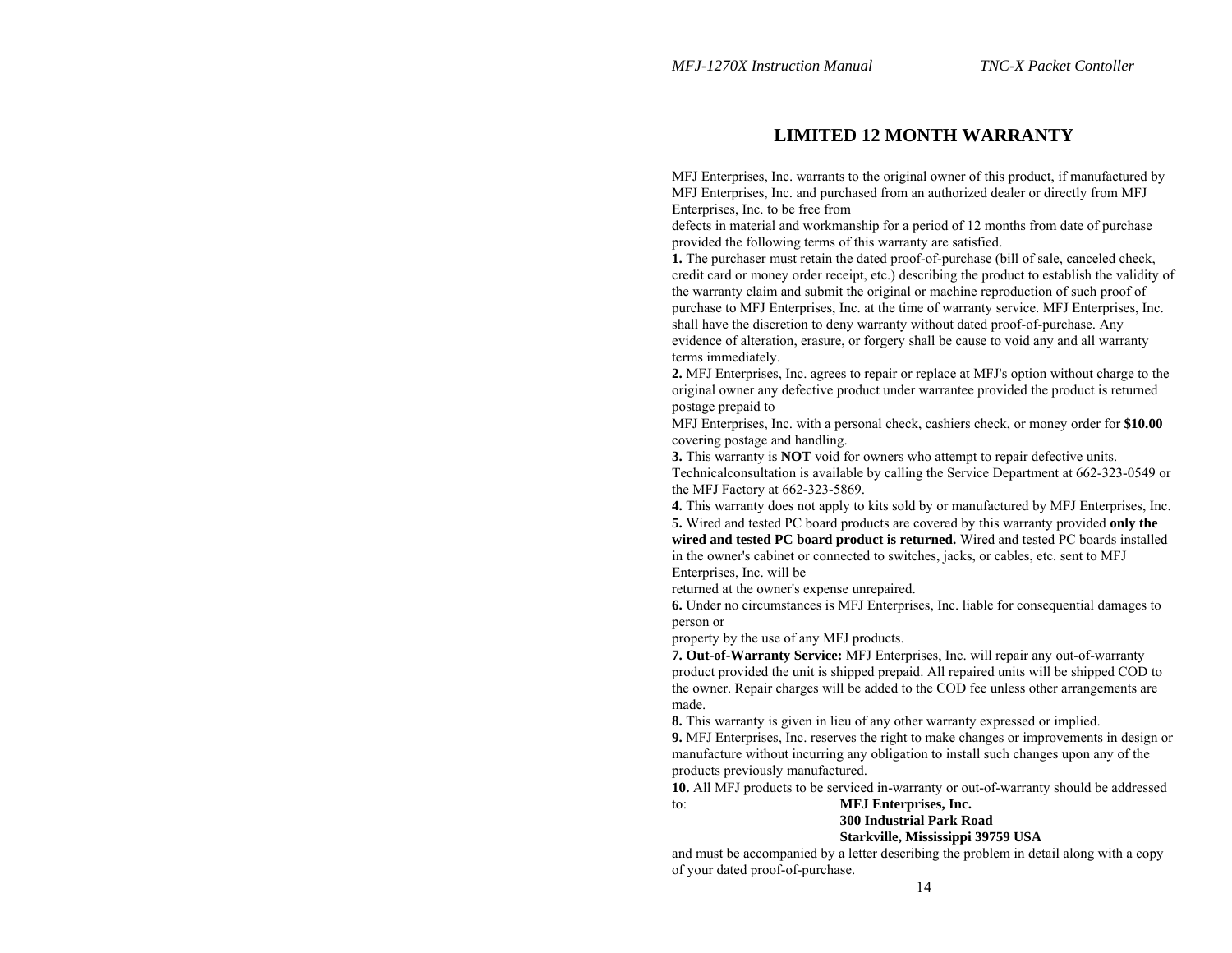## **LIMITED 12 MONTH WARRANTY**

MFJ Enterprises, Inc. warrants to the original owner of this product, if manufactured by MFJ Enterprises, Inc. and purchased from an authorized dealer or directly from MFJ Enterprises, Inc. to be free from

defects in material and workmanship for a period of 12 months from date of purchase provided the following terms of this warranty are satisfied.

**1.** The purchaser must retain the dated proof-of-purchase (bill of sale, canceled check, credit card or money order receipt, etc.) describing the product to establish the validity of the warranty claim and submit the original or machine reproduction of such proof of purchase to MFJ Enterprises, Inc. at the time of warranty service. MFJ Enterprises, Inc. shall have the discretion to deny warranty without dated proof-of-purchase. Any evidence of alteration, erasure, or forgery shall be cause to void any and all warranty terms immediately.

**2.** MFJ Enterprises, Inc. agrees to repair or replace at MFJ's option without charge to the original owner any defective product under warrantee provided the product is returned postage prepaid to

MFJ Enterprises, Inc. with a personal check, cashiers check, or money order for **\$10.00**  covering postage and handling.

**3.** This warranty is **NOT** void for owners who attempt to repair defective units. Technicalconsultation is available by calling the Service Department at 662-323-0549 or the MFJ Factory at 662-323-5869.

**4.** This warranty does not apply to kits sold by or manufactured by MFJ Enterprises, Inc. **5.** Wired and tested PC board products are covered by this warranty provided **only the wired and tested PC board product is returned.** Wired and tested PC boards installed in the owner's cabinet or connected to switches, jacks, or cables, etc. sent to MFJ Enterprises, Inc. will be

returned at the owner's expense unrepaired.

**6.** Under no circumstances is MFJ Enterprises, Inc. liable for consequential damages to person or

property by the use of any MFJ products.

**7. Out-of-Warranty Service:** MFJ Enterprises, Inc. will repair any out-of-warranty product provided the unit is shipped prepaid. All repaired units will be shipped COD to the owner. Repair charges will be added to the COD fee unless other arrangements are made.

**8.** This warranty is given in lieu of any other warranty expressed or implied.

**9.** MFJ Enterprises, Inc. reserves the right to make changes or improvements in design or manufacture without incurring any obligation to install such changes upon any of the products previously manufactured.

**10.** All MFJ products to be serviced in-warranty or out-of-warranty should be addressed to: **MFJ Enterprises, Inc.** 

#### **300 Industrial Park Road Starkville, Mississippi 39759 USA**

and must be accompanied by a letter describing the problem in detail along with a copy of your dated proof-of-purchase.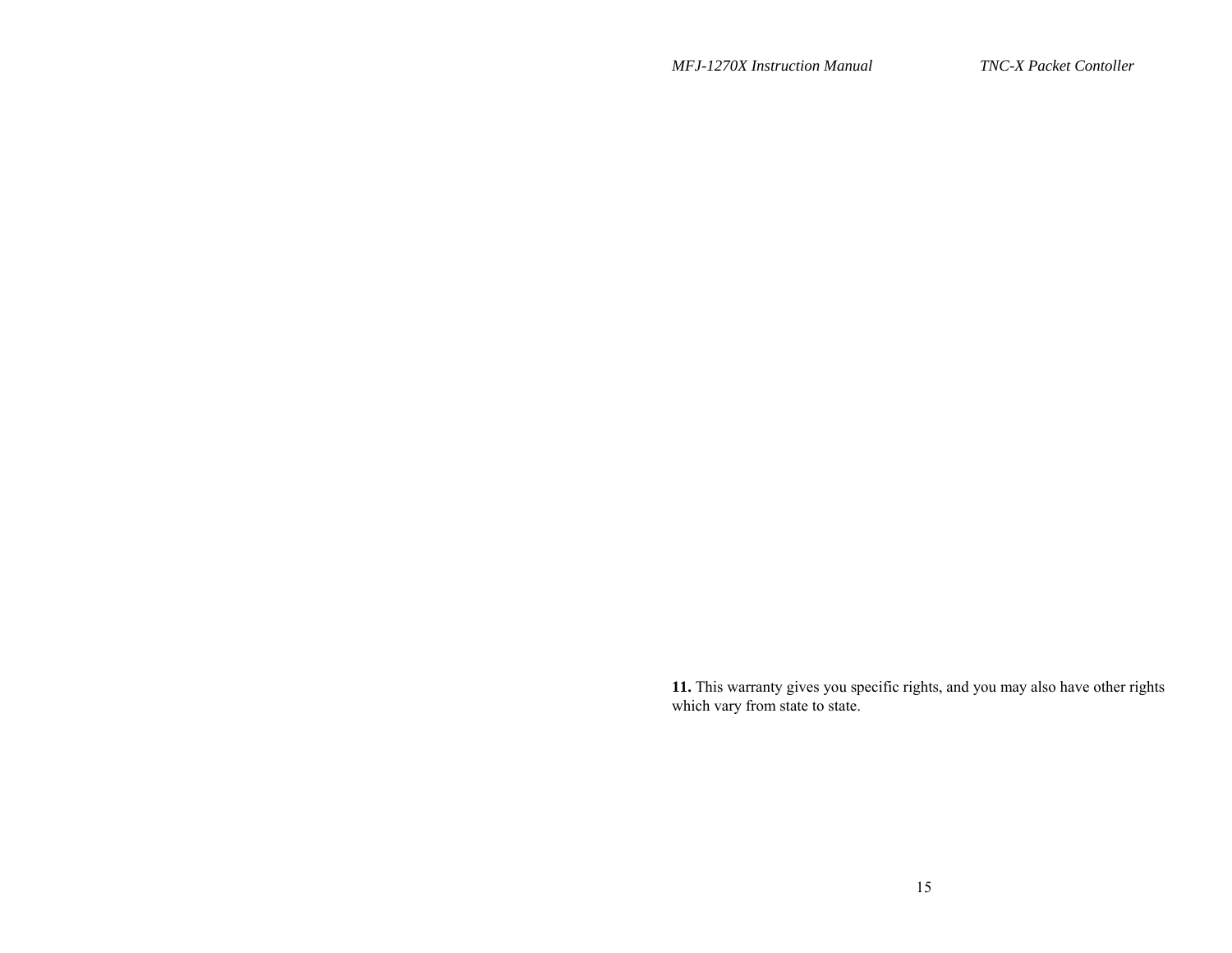*MFJ-1270X Instruction Manual* 

TNC-X Packet Contoller

**11.** This warranty gives you specific rights, and you may also have other rights which vary from state to state.